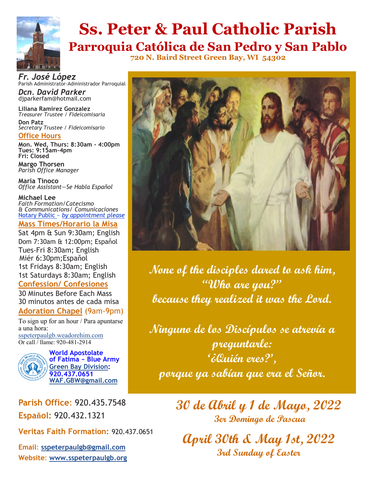

# **Ss. Peter & Paul Catholic Parish Parroquia Católica de San Pedro y San Pablo**

**720 N. Baird Street Green Bay, WI 54302**

*Fr. José López* Parish Administrator-Administrador Parroquial

*Dcn. David Parker* djparkerfam@hotmail.com

**Liliana Ramirez Gonzalez** *Treasurer Trustee / Fideicomisaria* **Don Patz** *Secretary Trustee / Fideicomisario*

**Office Hours**

**Mon. Wed, Thurs: 8:30am - 4:00pm Tues: 9:15am-4pm***)* **Fri: Closed** 

**Margo Thorsen** *Parish Office Manager* 

**María Tinoco** *Office Assistant—Se Habla Espaňol*

**Michael Lee**  *Faith Formation/Catecismo & Communications/ Comunicaciones* Notary Public ~ *by appointment please*

### **Mass Times/Horario la Misa**

Sat 4pm & Sun 9:30am; English Dom 7:30am & 12:00pm; Espaňol Tues-Fri 8:30am; English Miér 6:30pm;Espaňol 1st Fridays 8:30am; English 1st Saturdays 8:30am; English **Confession/ Confesiones**

## 30 Minutes Before Each Mass

30 minutos antes de cada misa

### **Adoration Chapel** (9am-9pm)

To sign up for an hour / Para apuntarse a una hora: [sspeterpaulgb.weadorehim.com](https://sspeterpaulgb.weadorehim.com/) Or call / llame: 920-481-2914



**World Apostolate of Fatima ~ Blue Army [Green Bay Division:](http://www.sspeterpaulgb.org/subpages.php?CLID=10906) 920.437.0651 [WAF.GBW@gmail.com](mailto:WAF.GBW@gmail.com)**

**Parish Office**: 920.435.7548 **Espaňol:** 920.432.1321

**Veritas Faith Formation:** 920.437.0651

**Email**: **[sspeterpaulgb@gmail.com](mailto:sspeterpaulgb@gmail.com) Website**: **[www.sspeterpaulgb.org](http://www.sspeterpaulgb.org)**



**None of the disciples dared to ask him, "Who are you?" because they realized it was the Lord.** 

**Ninguno de los Discípulos se atrevía a preguntarle: '¿Quién eres?', porque ya sabían que era el Señor.** 

> **30 de Abril y 1 de Mayo, 2022 3er Domingo de Pascua**

**April 30th & May 1st, 2022 3rd Sunday of Easter**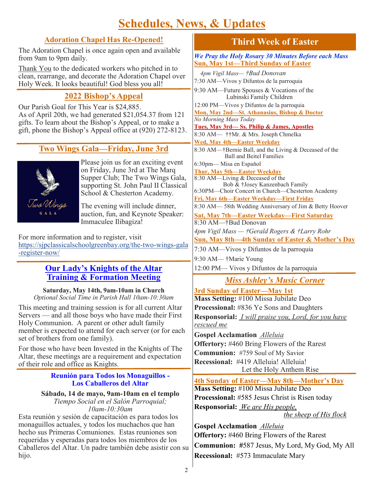# **Schedules, News, & Updates**

### **Adoration Chapel Has Re-Opened!**

The Adoration Chapel is once again open and available from 9am to 9pm daily.

Thank You to the dedicated workers who pitched in to clean, rearrange, and decorate the Adoration Chapel over Holy Week. It looks beautiful! God bless you all!

## **2022 Bishop's Appeal**

Our Parish Goal for This Year is \$24,885. As of April 20th, we had generated \$21,054.37 from 121 gifts. To learn about the Bishop's Appeal, or to make a gift, phone the Bishop's Appeal office at (920) 272-8123.

## **Two Wings Gala—Friday, June 3rd**



Please join us for an exciting event on Friday, June 3rd at The Marq Supper Club; The Two Wings Gala, supporting St. John Paul II Classical School & Chesterton Academy.

The evening will include dinner, auction, fun, and Keynote Speaker: Immaculee Ilibagiza!

For more information and to register, visit [https://sjpclassicalschoolgreenbay.org/the](https://sjpclassicalschoolgreenbay.org/the-two-wings-gala-register-now/)-two-wings-gala -[register](https://sjpclassicalschoolgreenbay.org/the-two-wings-gala-register-now/)-now/

### **Our Lady's Knights of the Altar Training & Formation Meeting**

**Saturday, May 14th, 9am-10am in Church** *Optional Social Time in Parish Hall 10am-10:30am*

This meeting and training session is for all current Altar Servers — and all those boys who have made their First Holy Communion. A parent or other adult family member is expected to attend for each server (or for each set of brothers from one family).

For those who have been Invested in the Knights of The Altar, these meetings are a requirement and expectation of their role and office as Knights.

### **Reunión para Todos los Monaguillos - Los Caballeros del Altar**

### **Sábado, 14 de mayo, 9am-10am en el templo** *Tiempo Social en el Salón Parroquial; 10am-10:30am*

Esta reunión y sesión de capacitación es para todos los monaguillos actuales, y todos los muchachos que han hecho sus Primeras Comuniones. Estas reuniones son requeridas y esperadas para todos los miembros de los Caballeros del Altar. Un padre también debe asistir con su hijo.

## **Third Week of Easter**

*We Pray the Holy Rosary 30 Minutes Before each Mass* **Sun, May 1st—Third Sunday of Easter**

 *4pm Vigil Mass— †Bud Donovan* 7:30 AM—Vivos y Difuntos de la parroquia 9:30 AM—Future Spouses & Vocations of the Lubinski Family Children 12:00 PM—Vivos y Difuntos de la parroquia **Mon, May 2nd—St. Athanasius, Bishop & Doctor** *No Morning Mass Today* **Tues, May 3rd— Ss. Philip & James, Apostles** 8:30 AM— ††Mr. & Mrs. Joseph Chmelka **Wed, May 4th—Easter Weekday** 8:30 AM—†Bernie Ball, and the Living & Deceased of the Ball and Beitel Families 6:30pm— Misa en Espaňol **Thur, May 5th—Easter Weekday**  8:30 AM—Living & Deceased of the Bob & †Josey Kanzenbach Family 6:30PM—Choir Concert in Church—Chesterton Academy **Fri, May 6th—Easter Weekday—First Friday** 8:30 AM— 58th Wedding Anniversary of Jim & Betty Hoover **Sat, May 7th—Easter Weekday—First Saturday** 8:30 AM—†Bud Donovan *4pm Vigil Mass — †Gerald Rogers & †Larry Rohr*  **Sun, May 8th—4th Sunday of Easter & Mother's Day** 7:30 AM—Vivos y Difuntos de la parroquia 9:30 AM— †Marie Young

12:00 PM— Vivos y Difuntos de la parroquia

## *Miss Ashley's Music Corner*

**3rd Sunday of Easter—May 1st Mass Setting:** #100 Missa Jubilate Deo **Processional:** #836 Ye Sons and Daughters **Responsorial:** *I will praise you, Lord, for you have rescued me*

**Gospel Acclamation** *Alleluia*  **Offertory:** #460 Bring Flowers of the Rarest **Communion:** #759 Soul of My Savior **Recessional:** #419 Alleluia! Alleluia! Let the Holy Anthem Rise

### **4th Sunday of Easter—May 8th—Mother's Day Mass Setting:** #100 Missa Jubilate Deo **Processional:** #585 Jesus Christ is Risen today

**Responsorial:** *We are His people,* 

 *the sheep of His flock*

**Gospel Acclamation** *Alleluia*  **Offertory:** #460 Bring Flowers of the Rarest **Communion: #**587 Jesus, My Lord, My God, My All **Recessional:** #573 Immaculate Mary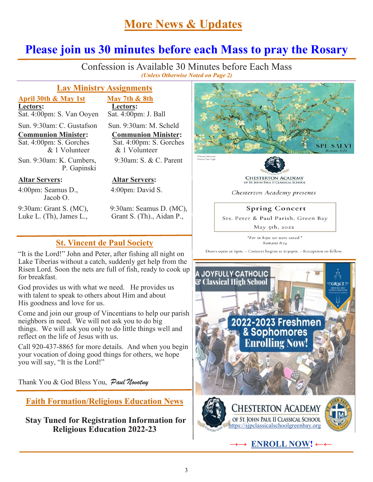## **More News & Updates**

### **Please join us 30 minutes before each Mass to pray the Rosary** j

Confession is Available 30 Minutes before Each Mass *(Unless Otherwise Noted on Page 2)*

### **Lay Ministry Assignments**

 $\overline{Sat. 4:00pm}$ : S. Van Ooyen

Sun. 9:30am: C. Gustafson Sun. 9:30am: M. Scheld

Sat. 4:00pm: S. Gorches & 1 Volunteer & 1 Volunteer

Sun. 9:30am: K. Cumbers, 9:30am: S. & C. Parent P. Gapinski

### **Altar Servers: Altar Servers:**

4:00pm: Seamus D., 4:00pm: David S. Jacob O.

**April 30th & May 1st May 7th & 8th Lectors:**<br>Sat. 4:00pm: S. Van Ooyen Sat. 4:00pm: J. Ball

**Communion Minister:**<br>Sat. 4:00pm: S. Gorches<br>Sat. 4:00pm: S. Gorches

9:30am: Grant S. (MC), 9:30am: Seamus D. (MC), Luke L. (Th), James L., Grant S. (Th)., Aidan P.,

### **St. Vincent de Paul Society**

"It is the Lord!" John and Peter, after fishing all night on Lake Tiberias without a catch, suddenly get help from the Risen Lord. Soon the nets are full of fish, ready to cook up for breakfast.

God provides us with what we need. He provides us with talent to speak to others about Him and about His goodness and love for us.

Come and join our group of Vincentians to help our parish neighbors in need. We will not ask you to do big things. We will ask you only to do little things well and reflect on the life of Jesus with us.

Call 920-437-8865 for more details. And when you begin your vocation of doing good things for others, we hope you will say, "It is the Lord!"

Thank You & God Bless You, Paul Novotny

**Faith Formation/Religious Education News**

**Stay Tuned for Registration Information for Religious Education 2022-23**





OF ST. JOHN PAUL II CLASSICAL SCHOOL

Chesterton Academy presents

### **Spring Concert**

Sts. Peter & Paul Parish, Green Bay

May 5th, 2022

"For in hope we were saved." Romans 8:24

Doors open at 6pm. - Concert begins at 6:30pm. - Reception to follow.



**→→ [ENROLL NOW!](https://mytads.com/a/stjohnpauliiclassical?fbclid=IwAR0m1W0twv5d91HNre_AY-WeO5nteswH9GFfwT-3wr5u_SW3_j5T_fwyTYQ) ←←**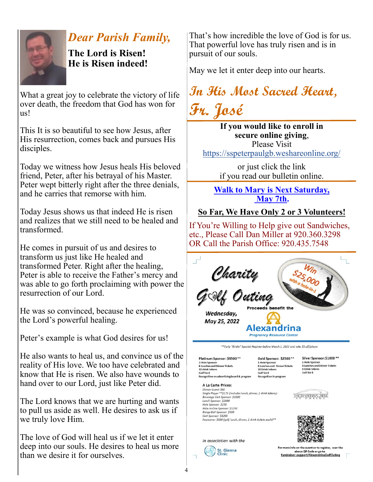

# *Dear Parish Family,*

**The Lord is Risen! He is Risen indeed!**

What a great joy to celebrate the victory of life over death, the freedom that God has won for us!

This It is so beautiful to see how Jesus, after His resurrection, comes back and pursues His disciples.

Today we witness how Jesus heals His beloved friend, Peter, after his betrayal of his Master. Peter wept bitterly right after the three denials, and he carries that remorse with him.

Today Jesus shows us that indeed He is risen and realizes that we still need to be healed and transformed.

He comes in pursuit of us and desires to transform us just like He healed and transformed Peter. Right after the healing, Peter is able to receive the Father's mercy and was able to go forth proclaiming with power the resurrection of our Lord.

He was so convinced, because he experienced the Lord's powerful healing.

Peter's example is what God desires for us!

He also wants to heal us, and convince us of the reality of His love. We too have celebrated and know that He is risen. We also have wounds to hand over to our Lord, just like Peter did.

The Lord knows that we are hurting and wants to pull us aside as well. He desires to ask us if we truly love Him.

The love of God will heal us if we let it enter deep into our souls. He desires to heal us more than we desire it for ourselves.

That's how incredible the love of God is for us. That powerful love has truly risen and is in pursuit of our souls.

May we let it enter deep into our hearts.

**In His Most Sacred Heart, Fr. José**

**If you would like to enroll in secure online giving**, Please Visit <https://sspeterpaulgb.weshareonline.org/>

> or just click the link if you read our bulletin online.

**Walk to Mary is Next Saturday, May 7th.** 

## **So Far, We Have Only 2 or 3 Volunteers!**

If You're Willing to Help give out Sandwiches, etc., Please Call Dan Miller at 920.360.3298 OR Call the Parish Office: 920.435.7548



\*\*Early "Birdie" Special: Register before March 1, 2022 and take \$5 off/player

Platinum Sponsor: \$3500 \*\* 2-Hole Sponsor **8 Lunches and Dinner Tickets** 32 drink tokens Se office tends:<br>Golf for 8<br>Recognition on advertising board & program

Beverage Cart Sponsor: \$1500<br>Lunch Sponsor: \$2000 Hole Sponsor: \$250 Hole-in-One Sponsor: \$1250 Range Ball Sponsor: \$500 Cart Sponsor: \$1200

Dinner Guest: \$60<br>Single Player \*\*\$175 (includes lunch, dinner, 2 drink tokens):

Foursome: \$600 (golf, lunch, dinner, 2 drink tickets each)\*\*

A La Carte Prices:

Gold Sponsor: \$2500\*\* 1-Hole Sponsor<br>8 Lunches and Dinner Tickets a Lunches and<br>24 Drink tokens 24 Drink tokens<br>Golf for 8<br>Recognition in program

Silver Sponsor: \$1000\*\* 1-Hole Sponsor<br>4 Lunches and Dinner Tickets 8 Drink tokens Golf for 4

**THORNBERRY CREEK** 





In association with the

For more info on the event or to register, scan the above QR Code or go to<br>fundraiser.support/AlexandrinaGolfOuting  $\sqrt{2}$